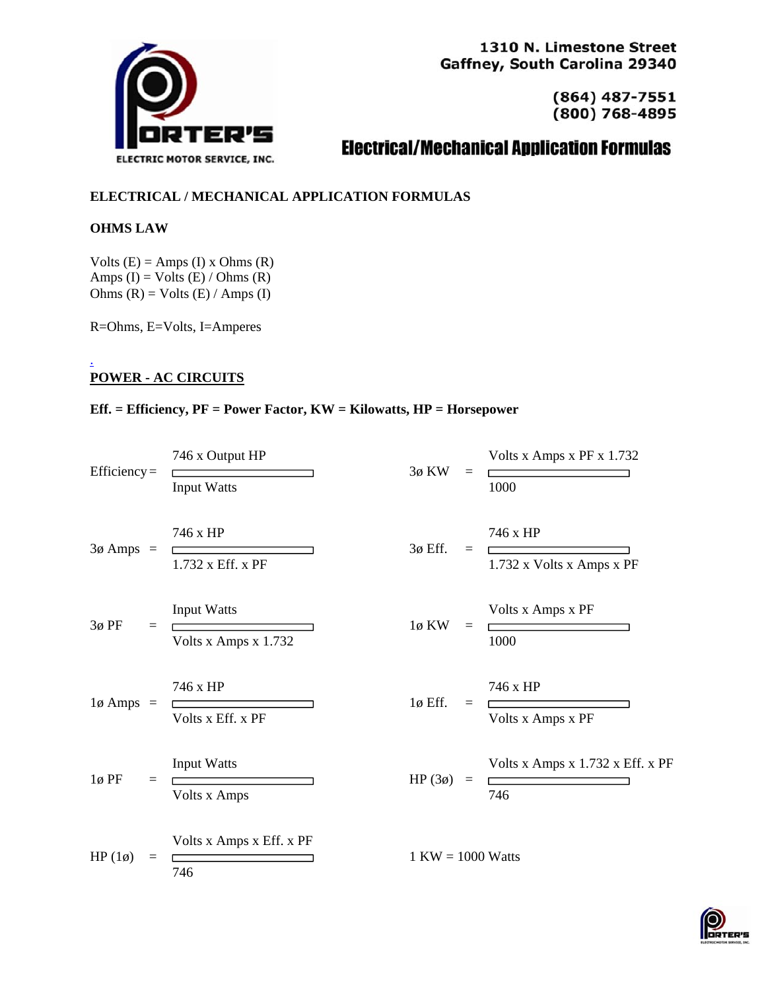

1310 N. Limestone Street Gaffney, South Carolina 29340

> $(864)$  487-7551  $(800) 768 - 4895$

# **Electrical/Mechanical Application Formulas**

# **ELECTRICAL / MECHANICAL APPLICATION FORMULAS**

## **OHMS LAW**

Volts  $(E) =$  Amps  $(I)$  x Ohms  $(R)$ Amps  $(I) = Volts (E) / Ohms (R)$ Ohms  $(R) = Volts (E) / Amps (I)$ 

R=Ohms, E=Volts, I=Amperes

#### . **POWER - AC CIRCUITS**

## **Eff. = Efficiency, PF = Power Factor, KW = Kilowatts, HP = Horsepower**

| $Efficiency =$      | 746 x Output HP                                     | 3ø KW<br>$\equiv$        | Volts x Amps x PF x 1.732                     |  |
|---------------------|-----------------------------------------------------|--------------------------|-----------------------------------------------|--|
| $3\phi$ Amps =      | <b>Input Watts</b><br>746 x HP<br>1.732 x Eff. x PF | $3\phi$ Eff.<br>$\equiv$ | 1000<br>746 x HP<br>1.732 x Volts x Amps x PF |  |
| $3\phi$ PF          | <b>Input Watts</b>                                  | $1\phi$ KW               | Volts x Amps x PF                             |  |
| $=$                 | Volts x Amps x 1.732                                | $\equiv$                 | 1000                                          |  |
| $1\phi$ Amps =      | 746 x HP                                            | $1\phi$ Eff.             | 746 x HP                                      |  |
|                     | Volts x Eff. x PF                                   | $\equiv$                 | Volts x Amps x PF                             |  |
| $1\phi$ PF          | <b>Input Watts</b>                                  | HP $(3\phi)$             | Volts x Amps x 1.732 x Eff. x PF              |  |
| $=$                 | Volts x Amps                                        | $\equiv$                 | 746                                           |  |
| HP $(1\phi)$<br>$=$ | Volts x Amps x Eff. x PF<br>746                     | $1$ KW = 1000 Watts      |                                               |  |